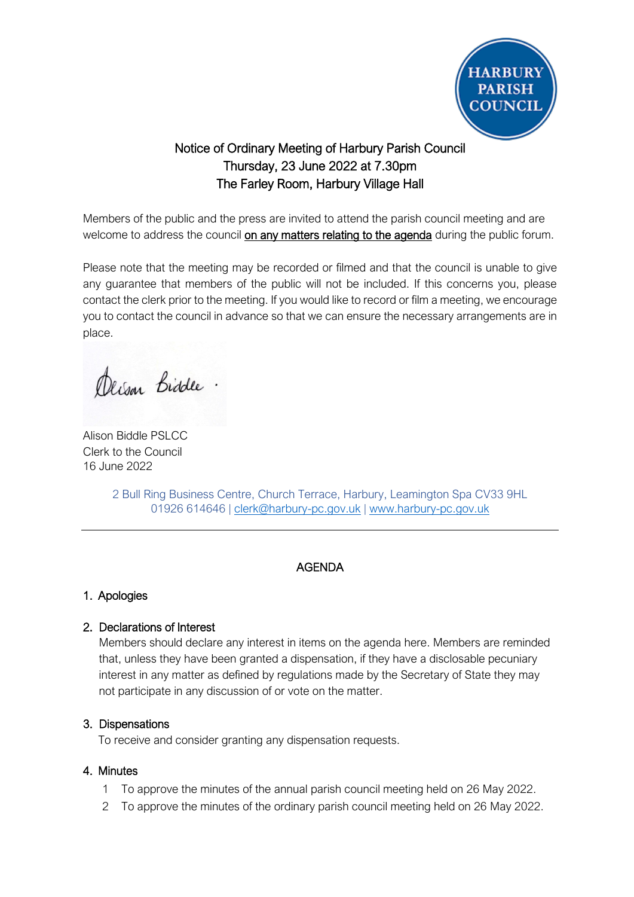

# Notice of Ordinary Meeting of Harbury Parish Council Thursday, 23 June 2022 at 7.30pm The Farley Room, Harbury Village Hall

Members of the public and the press are invited to attend the parish council meeting and are welcome to address the council on any matters relating to the agenda during the public forum.

Please note that the meeting may be recorded or filmed and that the council is unable to give any guarantee that members of the public will not be included. If this concerns you, please contact the clerk prior to the meeting. If you would like to record or film a meeting, we encourage you to contact the council in advance so that we can ensure the necessary arrangements are in place.

Derson Biddle.

Alison Biddle PSLCC Clerk to the Council 16 June 2022

2 Bull Ring Business Centre, Church Terrace, Harbury, Leamington Spa CV33 9HL 01926 614646 | [clerk@harbury-pc.gov.uk](mailto:clerk@harbury-pc.gov.uk) | [www.harbury-pc.gov.uk](http://www.harbury-pc.gov.uk/)

# AGENDA

# 1. Apologies

# 2. Declarations of Interest

Members should declare any interest in items on the agenda here. Members are reminded that, unless they have been granted a dispensation, if they have a disclosable pecuniary interest in any matter as defined by regulations made by the Secretary of State they may not participate in any discussion of or vote on the matter.

### 3. Dispensations

To receive and consider granting any dispensation requests.

### 4. Minutes

- 1 To approve the minutes of the annual parish council meeting held on 26 May 2022.
- 2 To approve the minutes of the ordinary parish council meeting held on 26 May 2022.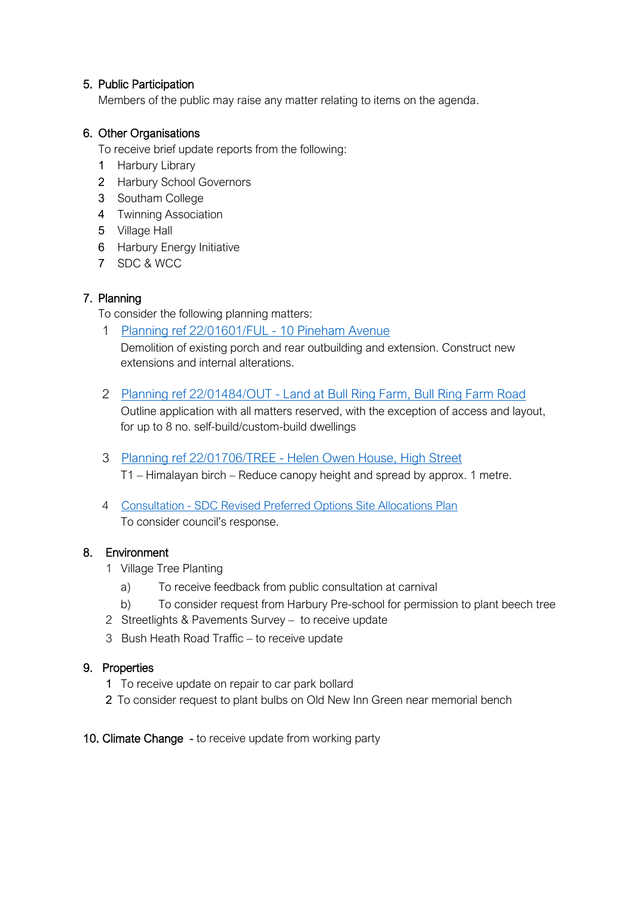### 5. Public Participation

Members of the public may raise any matter relating to items on the agenda.

### 6. Other Organisations

To receive brief update reports from the following:

- 1 Harbury Library
- 2 Harbury School Governors
- 3 Southam College
- 4 Twinning Association
- 5 Village Hall
- 6 Harbury Energy Initiative
- 7 SDC & WCC

# 7. Planning

To consider the following planning matters:

- 1 [Planning ref 22/01601/FUL -](http://apps.stratford.gov.uk/eplanning/AppDetail.aspx?appkey=RCHO3FPMGOR00) 10 Pineham Avenue Demolition of existing porch and rear outbuilding and extension. Construct new extensions and internal alterations.
- 2 Planning ref 22/01484/OUT [Land at Bull Ring Farm, Bull Ring Farm Road](http://apps.stratford.gov.uk/eplanning/AppDetail.aspx?appkey=RBZDV2PMK6M00) Outline application with all matters reserved, with the exception of access and layout, for up to 8 no. self-build/custom-build dwellings
- 3 Planning ref 22/01706/TREE [Helen Owen House, High Street](http://apps.stratford.gov.uk/eplanning/AppDetail.aspx?appkey=RD5CUEPMKB500) T1 – Himalayan birch – Reduce canopy height and spread by approx. 1 metre.
- 4 Consultation [SDC Revised Preferred Options Site Allocations Plan](http://www.stratford.gov.uk/sap22) To consider council's response.

### 8. Environment

- 1 Village Tree Planting
	- a) To receive feedback from public consultation at carnival
	- b) To consider request from Harbury Pre-school for permission to plant beech tree
- 2 Streetlights & Pavements Survey to receive update
- 3 Bush Heath Road Traffic to receive update

### 9. Properties

- 1 To receive update on repair to car park bollard
- 2 To consider request to plant bulbs on Old New Inn Green near memorial bench
- 10. Climate Change to receive update from working party